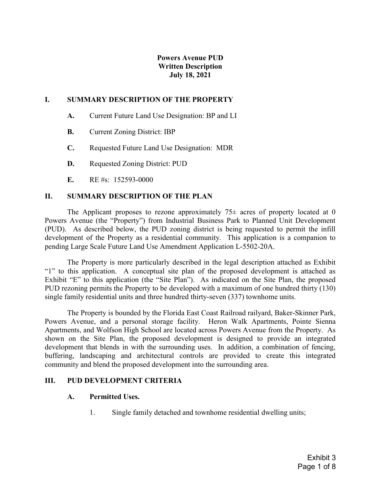# Powers Avenue PUD Written Description July 18, 2021

### I. SUMMARY DESCRIPTION OF THE PROPERTY

- A. Current Future Land Use Designation: BP and LI
- B. Current Zoning District: IBP
- C. Requested Future Land Use Designation: MDR
- D. Requested Zoning District: PUD
- E. RE #s: 152593-0000

### II. SUMMARY DESCRIPTION OF THE PLAN

The Applicant proposes to rezone approximately  $75\pm$  acres of property located at 0 Powers Avenue (the "Property") from Industrial Business Park to Planned Unit Development (PUD). As described below, the PUD zoning district is being requested to permit the infill development of the Property as a residential community. This application is a companion to pending Large Scale Future Land Use Amendment Application L-5502-20A.

The Property is more particularly described in the legal description attached as Exhibit "1" to this application. A conceptual site plan of the proposed development is attached as Exhibit "E" to this application (the "Site Plan"). As indicated on the Site Plan, the proposed PUD rezoning permits the Property to be developed with a maximum of one hundred thirty (130) single family residential units and three hundred thirty-seven (337) townhome units.

The Property is bounded by the Florida East Coast Railroad railyard, Baker-Skinner Park, Powers Avenue, and a personal storage facility. Heron Walk Apartments, Pointe Sienna Apartments, and Wolfson High School are located across Powers Avenue from the Property. As shown on the Site Plan, the proposed development is designed to provide an integrated development that blends in with the surrounding uses. In addition, a combination of fencing, buffering, landscaping and architectural controls are provided to create this integrated community and blend the proposed development into the surrounding area.

#### III. PUD DEVELOPMENT CRITERIA

#### A. Permitted Uses.

1. Single family detached and townhome residential dwelling units;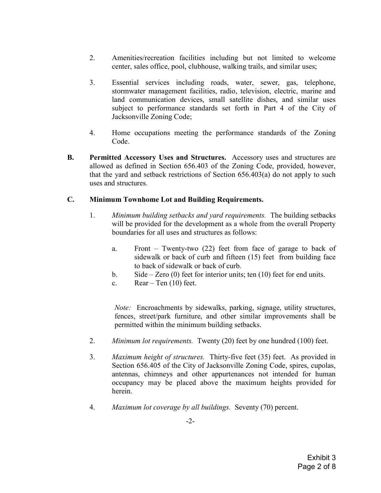- 2. Amenities/recreation facilities including but not limited to welcome center, sales office, pool, clubhouse, walking trails, and similar uses;
- 3. Essential services including roads, water, sewer, gas, telephone, stormwater management facilities, radio, television, electric, marine and land communication devices, small satellite dishes, and similar uses subject to performance standards set forth in Part 4 of the City of Jacksonville Zoning Code;
- 4. Home occupations meeting the performance standards of the Zoning Code.
- B. Permitted Accessory Uses and Structures. Accessory uses and structures are allowed as defined in Section 656.403 of the Zoning Code, provided, however, that the yard and setback restrictions of Section 656.403(a) do not apply to such uses and structures.

## C. Minimum Townhome Lot and Building Requirements.

- 1. Minimum building setbacks and yard requirements. The building setbacks will be provided for the development as a whole from the overall Property boundaries for all uses and structures as follows:
	- a. Front Twenty-two (22) feet from face of garage to back of sidewalk or back of curb and fifteen (15) feet from building face to back of sidewalk or back of curb.
	- b. Side Zero (0) feet for interior units; ten (10) feet for end units.
	- c. Rear Ten  $(10)$  feet.

Note: Encroachments by sidewalks, parking, signage, utility structures, fences, street/park furniture, and other similar improvements shall be permitted within the minimum building setbacks.

- 2. *Minimum lot requirements.* Twenty (20) feet by one hundred (100) feet.
- 3. Maximum height of structures. Thirty-five feet (35) feet. As provided in Section 656.405 of the City of Jacksonville Zoning Code, spires, cupolas, antennas, chimneys and other appurtenances not intended for human occupancy may be placed above the maximum heights provided for herein.
- 4. Maximum lot coverage by all buildings. Seventy (70) percent.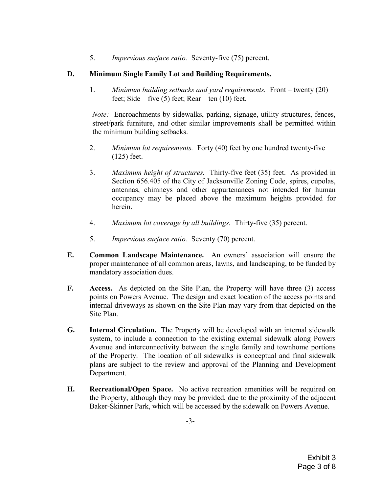5. Impervious surface ratio. Seventy-five (75) percent.

# D. Minimum Single Family Lot and Building Requirements.

1. Minimum building setbacks and yard requirements. Front – twenty (20) feet; Side – five  $(5)$  feet; Rear – ten  $(10)$  feet.

Note: Encroachments by sidewalks, parking, signage, utility structures, fences, street/park furniture, and other similar improvements shall be permitted within the minimum building setbacks.

- 2. *Minimum lot requirements.* Forty (40) feet by one hundred twenty-five (125) feet.
- 3. Maximum height of structures. Thirty-five feet (35) feet. As provided in Section 656.405 of the City of Jacksonville Zoning Code, spires, cupolas, antennas, chimneys and other appurtenances not intended for human occupancy may be placed above the maximum heights provided for herein.
- 4. Maximum lot coverage by all buildings. Thirty-five (35) percent.
- 5. Impervious surface ratio. Seventy (70) percent.
- E. Common Landscape Maintenance. An owners' association will ensure the proper maintenance of all common areas, lawns, and landscaping, to be funded by mandatory association dues.
- F. Access. As depicted on the Site Plan, the Property will have three (3) access points on Powers Avenue. The design and exact location of the access points and internal driveways as shown on the Site Plan may vary from that depicted on the Site Plan.
- G. Internal Circulation. The Property will be developed with an internal sidewalk system, to include a connection to the existing external sidewalk along Powers Avenue and interconnectivity between the single family and townhome portions of the Property. The location of all sidewalks is conceptual and final sidewalk plans are subject to the review and approval of the Planning and Development Department.
- H. Recreational/Open Space. No active recreation amenities will be required on the Property, although they may be provided, due to the proximity of the adjacent Baker-Skinner Park, which will be accessed by the sidewalk on Powers Avenue.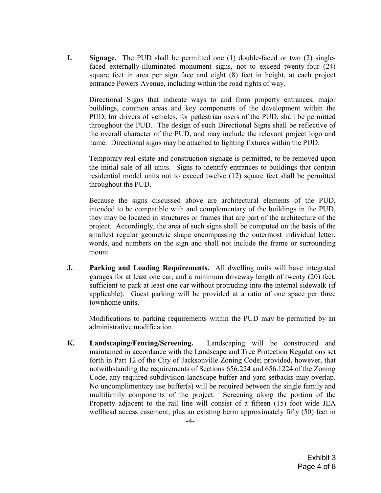I. Signage. The PUD shall be permitted one (1) double-faced or two (2) singlefaced externally-illuminated monument signs, not to exceed twenty-four (24) square feet in area per sign face and eight (8) feet in height, at each project entrance Powers Avenue, including within the road rights of way.

Directional Signs that indicate ways to and from property entrances, major buildings, common areas and key components of the development within the PUD, for drivers of vehicles, for pedestrian users of the PUD, shall be permitted throughout the PUD. The design of such Directional Signs shall be reflective of the overall character of the PUD, and may include the relevant project logo and name. Directional signs may be attached to lighting fixtures within the PUD.

Temporary real estate and construction signage is permitted, to be removed upon the initial sale of all units. Signs to identify entrances to buildings that contain residential model units not to exceed twelve (12) square feet shall be permitted throughout the PUD.

Because the signs discussed above are architectural elements of the PUD, intended to be compatible with and complementary of the buildings in the PUD, they may be located in structures or frames that are part of the architecture of the project. Accordingly, the area of such signs shall be computed on the basis of the smallest regular geometric shape encompassing the outermost individual letter, words, and numbers on the sign and shall not include the frame or surrounding mount.

J. Parking and Loading Requirements. All dwelling units will have integrated garages for at least one car, and a minimum driveway length of twenty (20) feet, sufficient to park at least one car without protruding into the internal sidewalk (if applicable). Guest parking will be provided at a ratio of one space per three townhome units.

Modifications to parking requirements within the PUD may be permitted by an administrative modification.

K. Landscaping/Fencing/Screening. Landscaping will be constructed and maintained in accordance with the Landscape and Tree Protection Regulations set forth in Part 12 of the City of Jacksonville Zoning Code; provided, however, that notwithstanding the requirements of Sections 656.224 and 656.1224 of the Zoning Code, any required subdivision landscape buffer and yard setbacks may overlap. No uncomplimentary use buffer(s) will be required between the single family and multifamily components of the project. Screening along the portion of the Property adjacent to the rail line will consist of a fifteen (15) foot wide JEA wellhead access easement, plus an existing berm approximately fifty (50) feet in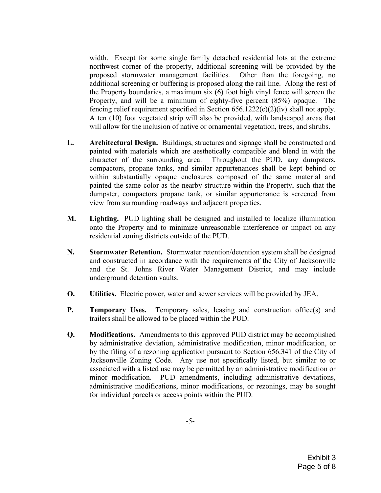width. Except for some single family detached residential lots at the extreme northwest corner of the property, additional screening will be provided by the proposed stormwater management facilities. Other than the foregoing, no additional screening or buffering is proposed along the rail line. Along the rest of the Property boundaries, a maximum six (6) foot high vinyl fence will screen the Property, and will be a minimum of eighty-five percent (85%) opaque. The fencing relief requirement specified in Section 656.1222(c)(2)(iv) shall not apply. A ten (10) foot vegetated strip will also be provided, with landscaped areas that will allow for the inclusion of native or ornamental vegetation, trees, and shrubs.

- L. Architectural Design. Buildings, structures and signage shall be constructed and painted with materials which are aesthetically compatible and blend in with the character of the surrounding area. Throughout the PUD, any dumpsters, compactors, propane tanks, and similar appurtenances shall be kept behind or within substantially opaque enclosures composed of the same material and painted the same color as the nearby structure within the Property, such that the dumpster, compactors propane tank, or similar appurtenance is screened from view from surrounding roadways and adjacent properties.
- M. Lighting. PUD lighting shall be designed and installed to localize illumination onto the Property and to minimize unreasonable interference or impact on any residential zoning districts outside of the PUD.
- N. Stormwater Retention. Stormwater retention/detention system shall be designed and constructed in accordance with the requirements of the City of Jacksonville and the St. Johns River Water Management District, and may include underground detention vaults.
- O. Utilities. Electric power, water and sewer services will be provided by JEA.
- P. Temporary Uses. Temporary sales, leasing and construction office(s) and trailers shall be allowed to be placed within the PUD.
- Q. Modifications. Amendments to this approved PUD district may be accomplished by administrative deviation, administrative modification, minor modification, or by the filing of a rezoning application pursuant to Section 656.341 of the City of Jacksonville Zoning Code. Any use not specifically listed, but similar to or associated with a listed use may be permitted by an administrative modification or minor modification. PUD amendments, including administrative deviations, administrative modifications, minor modifications, or rezonings, may be sought for individual parcels or access points within the PUD.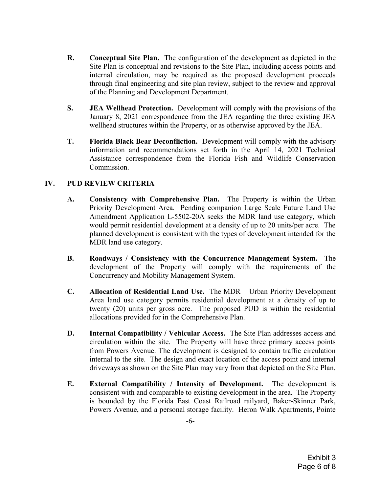- R. Conceptual Site Plan. The configuration of the development as depicted in the Site Plan is conceptual and revisions to the Site Plan, including access points and internal circulation, may be required as the proposed development proceeds through final engineering and site plan review, subject to the review and approval of the Planning and Development Department.
- S. JEA Wellhead Protection. Development will comply with the provisions of the January 8, 2021 correspondence from the JEA regarding the three existing JEA wellhead structures within the Property, or as otherwise approved by the JEA.
- T. Florida Black Bear Deconfliction. Development will comply with the advisory information and recommendations set forth in the April 14, 2021 Technical Assistance correspondence from the Florida Fish and Wildlife Conservation Commission.

# IV. PUD REVIEW CRITERIA

- A. Consistency with Comprehensive Plan. The Property is within the Urban Priority Development Area. Pending companion Large Scale Future Land Use Amendment Application L-5502-20A seeks the MDR land use category, which would permit residential development at a density of up to 20 units/per acre. The planned development is consistent with the types of development intended for the MDR land use category.
- B. Roadways / Consistency with the Concurrence Management System. The development of the Property will comply with the requirements of the Concurrency and Mobility Management System.
- C. Allocation of Residential Land Use. The MDR Urban Priority Development Area land use category permits residential development at a density of up to twenty (20) units per gross acre. The proposed PUD is within the residential allocations provided for in the Comprehensive Plan.
- D. Internal Compatibility / Vehicular Access. The Site Plan addresses access and circulation within the site. The Property will have three primary access points from Powers Avenue. The development is designed to contain traffic circulation internal to the site. The design and exact location of the access point and internal driveways as shown on the Site Plan may vary from that depicted on the Site Plan.
- E. External Compatibility / Intensity of Development. The development is consistent with and comparable to existing development in the area. The Property is bounded by the Florida East Coast Railroad railyard, Baker-Skinner Park, Powers Avenue, and a personal storage facility. Heron Walk Apartments, Pointe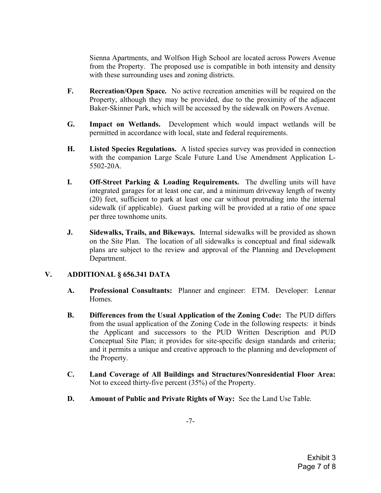Sienna Apartments, and Wolfson High School are located across Powers Avenue from the Property. The proposed use is compatible in both intensity and density with these surrounding uses and zoning districts.

- F. Recreation/Open Space. No active recreation amenities will be required on the Property, although they may be provided, due to the proximity of the adjacent Baker-Skinner Park, which will be accessed by the sidewalk on Powers Avenue.
- G. Impact on Wetlands. Development which would impact wetlands will be permitted in accordance with local, state and federal requirements.
- H. Listed Species Regulations. A listed species survey was provided in connection with the companion Large Scale Future Land Use Amendment Application L-5502-20A.
- I. Off-Street Parking & Loading Requirements. The dwelling units will have integrated garages for at least one car, and a minimum driveway length of twenty (20) feet, sufficient to park at least one car without protruding into the internal sidewalk (if applicable). Guest parking will be provided at a ratio of one space per three townhome units.
- J. Sidewalks, Trails, and Bikeways. Internal sidewalks will be provided as shown on the Site Plan. The location of all sidewalks is conceptual and final sidewalk plans are subject to the review and approval of the Planning and Development Department.

## V. ADDITIONAL § 656.341 DATA

- A. Professional Consultants: Planner and engineer: ETM. Developer: Lennar Homes.
- B. Differences from the Usual Application of the Zoning Code: The PUD differs from the usual application of the Zoning Code in the following respects: it binds the Applicant and successors to the PUD Written Description and PUD Conceptual Site Plan; it provides for site-specific design standards and criteria; and it permits a unique and creative approach to the planning and development of the Property.
- C. Land Coverage of All Buildings and Structures/Nonresidential Floor Area: Not to exceed thirty-five percent (35%) of the Property.
- D. Amount of Public and Private Rights of Way: See the Land Use Table.